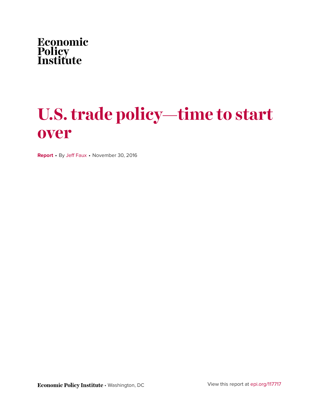

# **U.S. trade policy—time to start over**

**Report** • By [Jeff Faux](http://www.epi.org/people/jeff-faux/) • November 30, 2016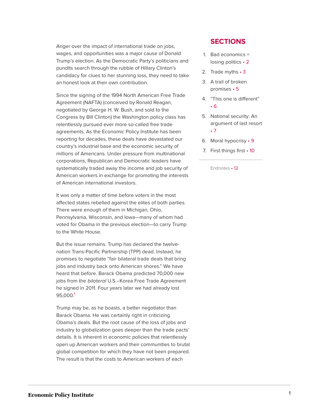Anger over the impact of international trade on jobs, wages, and opportunities was a major cause of Donald Trump's election. As the Democratic Party's politicians and pundits search through the rubble of Hillary Clinton's candidacy for clues to her stunning loss, they need to take an honest look at their own contribution.

Since the signing of the 1994 North American Free Trade Agreement (NAFTA) (conceived by Ronald Reagan, negotiated by George H. W. Bush, and sold to the Congress by Bill Clinton) the Washington policy class has relentlessly pursued ever more so-called free trade agreements. As the Economic Policy Institute has been reporting for decades, these deals have devastated our country's industrial base and the economic security of millions of Americans. Under pressure from multinational corporations, Republican and Democratic leaders have systematically traded away the income and job security of American workers in exchange for promoting the interests of American international investors.

It was only a matter of time before voters in the most affected states rebelled against the elites of both parties. There were enough of them in Michigan, Ohio, Pennsylvania, Wisconsin, and Iowa—many of whom had voted for Obama in the previous election—to carry Trump to the White House.

But the issue remains. Trump has declared the twelvenation Trans-Pacific Partnership (TPP) dead. Instead, he promises to negotiate "fair bilateral trade deals that bring jobs and industry back onto American shores." We have heard that before. Barack Obama predicted 70,000 new jobs from the bilateral U.S.–Korea Free Trade Agreement he signed in 2011. Four years later we had already lost 95,000. [1](#page-12-1)

<span id="page-1-0"></span>Trump may be, as he boasts, a better negotiator than Barack Obama. He was certainly right in criticizing Obama's deals. But the root cause of the loss of jobs and industry to globalization goes deeper than the trade pacts' details. It is inherent in economic policies that relentlessly open up American workers and their communities to brutal global competition for which they have not been prepared. The result is that the costs to American workers of each

#### **SECTIONS**

- 1. [Bad economics =](#page-2-0) losing [politics](#page-2-0) • 2
- 2. Trade [myths](#page-3-0) 3
- 3. [A trail of broken](#page-5-0) [promises](#page-5-0) • 5
- 4. ["This one is](#page-6-0) different" • [6](#page-6-0)
- 5. [National security: An](#page-7-0) [argument of last](#page-7-0) resort • [7](#page-7-0)
- 6. Moral [hypocrisy](#page-9-0) 9
- 7. [First things](#page-10-0) first 10

[Endnotes](#page-12-0) • 12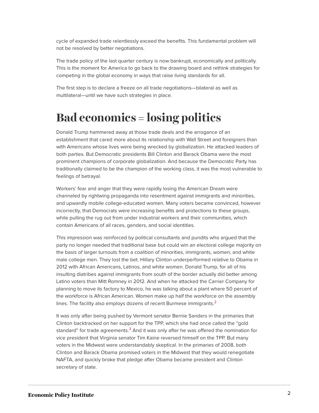cycle of expanded trade relentlessly exceed the benefits. This fundamental problem will not be resolved by better negotiations.

The trade policy of the last quarter century is now bankrupt, economically and politically. This is the moment for America to go back to the drawing board and rethink strategies for competing in the global economy in ways that raise living standards for all.

The first step is to declare a freeze on all trade negotiations—bilateral as well as multilateral—until we have such strategies in place.

### <span id="page-2-0"></span>**Bad economics = losing politics**

Donald Trump hammered away at those trade deals and the arrogance of an establishment that cared more about its relationship with Wall Street and foreigners than with Americans whose lives were being wrecked by globalization. He attacked leaders of both parties. But Democratic presidents Bill Clinton and Barack Obama were the most prominent champions of corporate globalization. And because the Democratic Party has traditionally claimed to be the champion of the working class, it was the most vulnerable to feelings of betrayal.

Workers' fear and anger that they were rapidly losing the American Dream were channeled by rightwing propaganda into resentment against immigrants and minorities, and upwardly mobile college-educated women. Many voters became convinced, however incorrectly, that Democrats were increasing benefits and protections to these groups, while pulling the rug out from under industrial workers and their communities, which contain Americans of all races, genders, and social identities.

This impression was reinforced by political consultants and pundits who argued that the party no longer needed that traditional base but could win an electoral college majority on the basis of larger turnouts from a coalition of minorities, immigrants, women, and white male college men. They lost the bet. Hillary Clinton underperformed relative to Obama in 2012 with African Americans, Latinos, and white women. Donald Trump, for all of his insulting diatribes against immigrants from south of the border actually did better among Latino voters than Mitt Romney in 2012. And when he attacked the Carrier Company for planning to move its factory to Mexico, he was talking about a plant where 50 percent of the workforce is African American. Women make up half the workforce on the assembly lines. The facility also employs dozens of recent Burmese immigrants. $<sup>2</sup>$  $<sup>2</sup>$  $<sup>2</sup>$ </sup>

<span id="page-2-2"></span><span id="page-2-1"></span>It was only after being pushed by Vermont senator Bernie Sanders in the primaries that Clinton backtracked on her support for the TPP, which she had once called the "gold standard" for trade agreements. $3$  And it was only after he was offered the nomination for vice president that Virginia senator Tim Kaine reversed himself on the TPP. But many voters in the Midwest were understandably skeptical. In the primaries of 2008, both Clinton and Barack Obama promised voters in the Midwest that they would renegotiate NAFTA, and quickly broke that pledge after Obama became president and Clinton secretary of state.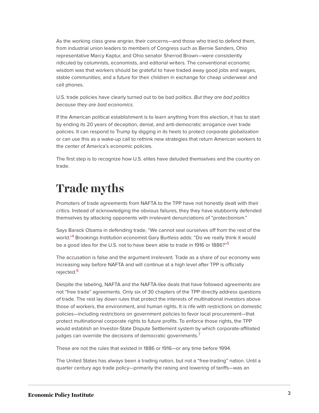As the working class grew angrier, their concerns—and those who tried to defend them, from industrial union leaders to members of Congress such as Bernie Sanders, Ohio representative Marcy Kaptur, and Ohio senator Sherrod Brown—were consistently ridiculed by columnists, economists, and editorial writers. The conventional economic wisdom was that workers should be grateful to have traded away good jobs and wages, stable communities, and a future for their children in exchange for cheap underwear and cell phones.

U.S. trade policies have clearly turned out to be bad politics. But they are bad politics because they are bad economics.

If the American political establishment is to learn anything from this election, it has to start by ending its 20 years of deception, denial, and anti-democratic arrogance over trade policies. It can respond to Trump by digging in its heels to protect corporate globalization or can use this as a wake-up call to rethink new strategies that return American workers to the center of America's economic policies.

The first step is to recognize how U.S. elites have deluded themselves and the country on trade.

#### <span id="page-3-0"></span>**Trade myths**

Promoters of trade agreements from NAFTA to the TPP have not honestly dealt with their critics. Instead of acknowledging the obvious failures, they they have stubbornly defended themselves by attacking opponents with irrelevant denunciations of "protectionism."

<span id="page-3-2"></span><span id="page-3-1"></span>Says Barack Obama in defending trade, "We cannot seal ourselves off from the rest of the world." [4](#page-12-4) Brookings Institution economist Gary Burtless adds: "Do we really think it would be a good idea for the U.S. not to have been able to trade in 1916 or 1886?"<sup>[5](#page-12-5)</sup>

The accusation is false and the argument irrelevant. Trade as a share of our economy was increasing way before NAFTA and will continue at a high level after TPP is officially rejected.<sup>[6](#page-12-6)</sup>

<span id="page-3-3"></span>Despite the labeling, NAFTA and the NAFTA-like deals that have followed agreements are not "free trade" agreements. Only six of 30 chapters of the TPP directly address questions of trade. The rest lay down rules that protect the interests of multinational investors above those of workers, the environment, and human rights. It is rife with restrictions on domestic policies—including restrictions on government policies to favor local procurement—that protect multinational corporate rights to future profits. To enforce those rights, the TPP would establish an Investor-State Dispute Settlement system by which corporate-affiliated judges can override the decisions of democratic governments.<sup>[7](#page-12-7)</sup>

<span id="page-3-4"></span>These are not the rules that existed in 1886 or 1916—or any time before 1994.

The United States has always been a trading nation, but not a "free-trading" nation. Until a quarter century ago trade policy—primarily the raising and lowering of tariffs—was an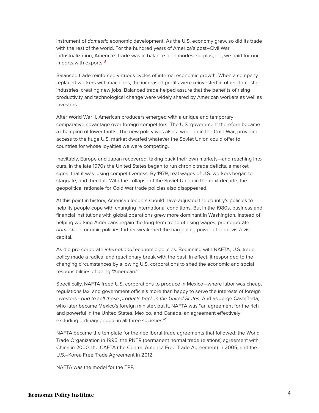instrument of *domestic* economic development. As the U.S. economy grew, so did its trade with the rest of the world. For the hundred years of America's post–Civil War industrialization, America's trade was in balance or in modest surplus, i.e., we paid for our imports with exports.<sup>[8](#page-12-8)</sup>

<span id="page-4-0"></span>Balanced trade reinforced virtuous cycles of internal economic growth. When a company replaced workers with machines, the increased profits were reinvested in other domestic industries, creating new jobs. Balanced trade helped assure that the benefits of rising productivity and technological change were widely shared by American workers as well as investors.

After World War II, American producers emerged with a unique and temporary comparative advantage over foreign competitors. The U.S. government therefore became a champion of lower tariffs. The new policy was also a weapon in the Cold War; providing access to the huge U.S. market dwarfed whatever the Soviet Union could offer to countries for whose loyalties we were competing.

Inevitably, Europe and Japan recovered, taking back their own markets—and reaching into ours. In the late 1970s the United States began to run chronic trade deficits, a market signal that it was losing competitiveness. By 1979, real wages of U.S. workers began to stagnate, and then fall. With the collapse of the Soviet Union in the next decade, the geopolitical rationale for Cold War trade policies also disappeared.

At this point in history, American leaders should have adjusted the country's policies to help its people cope with changing international conditions. But in the 1980s, business and financial institutions with global operations grew more dominant in Washington. Instead of helping working Americans regain the long-term trend of rising wages, pro-corporate domestic economic policies further weakened the bargaining power of labor vis-à-vis capital.

As did pro-corporate international economic policies. Beginning with NAFTA, U.S. trade policy made a radical and reactionary break with the past. In effect, it responded to the changing circumstances by allowing U.S. corporations to shed the economic and social responsibilities of being "American."

Specifically, NAFTA freed U.S. corporations to produce in Mexico—where labor was cheap, regulations lax, and government officials more than happy to serve the interests of foreign investors—and to sell those products back in the United States. And as Jorge Castañeda, who later became Mexico's foreign minister, put it, NAFTA was "an agreement for the rich and powerful in the United States, Mexico, and Canada, an agreement effectively excluding ordinary people in all three societies."<sup>[9](#page-12-9)</sup>

<span id="page-4-1"></span>NAFTA became the template for the neoliberal trade agreements that followed: the World Trade Organization in 1995, the PNTR (permanent normal trade relations) agreement with China in 2000, the CAFTA (the Central America Free Trade Agreement) in 2005, and the U.S.–Korea Free Trade Agreement in 2012.

NAFTA was the model for the TPP.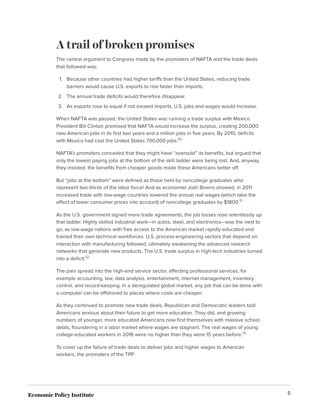# <span id="page-5-0"></span>**A trail of broken promises**

The central argument to Congress made by the promoters of NAFTA and the trade deals that followed was:

- 1. Because other countries had higher tariffs than the United States, reducing trade barriers would cause U.S. exports to rise faster than imports.
- 2. The annual trade deficits would therefore disappear.
- 3. As exports rose to equal if not exceed imports, U.S. jobs and wages would increase.

When NAFTA was passed, the United States was running a trade surplus with Mexico. President Bill Clinton promised that NAFTA would increase the surplus, creating 200,000 new American jobs in its first two years and a million jobs in five years. By 2010, deficits with Mexico had cost the United States 700,000 jobs.<sup>[10](#page-12-10)</sup>

<span id="page-5-1"></span>NAFTA's promoters conceded that they might have "oversold" its benefits, but argued that only the lowest paying jobs at the bottom of the skill ladder were being lost. And, anyway, they insisted, the benefits from cheaper goods made these Americans better off.

But "jobs at the bottom" were defined as those held by noncollege graduates who represent two-thirds of the labor force! And as economist Josh Bivens showed, in 2011 increased trade with low-wage countries lowered the annual real wages (which take the effect of lower consumer prices into account) of noncollege graduates by \$1800.<sup>[11](#page-12-11)</sup>

<span id="page-5-2"></span>As the U.S. government signed more trade agreements, the job losses rose relentlessly up that ladder. Highly skilled industrial work—in autos, steel, and electronics—was the next to go, as low-wage nations with free access to the American market rapidly educated and trained their own technical workforces. U.S. process-engineering sectors that depend on interaction with manufacturing followed, ultimately weakening the advanced research networks that generate new products. The U.S. trade surplus in high-tech industries turned into a deficit.<sup>[12](#page-12-12)</sup>

<span id="page-5-3"></span>The pain spread into the high-end service sector, affecting professional services, for example accounting, law, data analysis, entertainment, internet management, inventory control, and record-keeping. In a deregulated global market, any job that can be done with a computer can be offshored to places where costs are cheaper.

As they continued to promote new trade deals, Republican and Democratic leaders told Americans anxious about their future to get more education. They did, and growing numbers of younger, more educated Americans now find themselves with massive school debts, floundering in a labor market where wages are stagnant. The real wages of young college-educated workers in 2016 were no higher than they were 15 years before.<sup>[13](#page-12-13)</sup>

<span id="page-5-4"></span>To cover up the failure of trade deals to deliver jobs and higher wages to American workers, the promoters of the TPP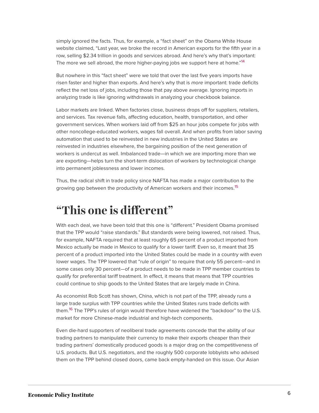simply ignored the facts. Thus, for example, a "fact sheet" on the Obama White House website claimed, "Last year, we broke the record in American exports for the fifth year in a row, selling \$2.34 trillion in goods and services abroad. And here's why that's important: The more we sell abroad, the more higher-paying jobs we support here at home."<sup>[14](#page-12-14)</sup>

<span id="page-6-1"></span>But nowhere in this "fact sheet" were we told that over the last five years imports have risen faster and higher than exports. And here's why that is more important: trade deficits reflect the net loss of jobs, including those that pay above average. Ignoring imports in analyzing trade is like ignoring withdrawals in analyzing your checkbook balance.

Labor markets are linked. When factories close, business drops off for suppliers, retailers, and services. Tax revenue falls, affecting education, health, transportation, and other government services. When workers laid off from \$25 an hour jobs compete for jobs with other noncollege-educated workers, wages fall overall. And when profits from labor saving automation that used to be reinvested in new industries in the United States are reinvested in industries elsewhere, the bargaining position of the next generation of workers is undercut as well. Imbalanced trade—in which we are importing more than we are exporting—helps turn the short-term dislocation of workers by technological change into permanent joblessness and lower incomes.

<span id="page-6-2"></span>Thus, the radical shift in trade policy since NAFTA has made a major contribution to the growing gap between the productivity of American workers and their incomes.<sup>[15](#page-12-15)</sup>

#### <span id="page-6-0"></span>**"This one is different"**

With each deal, we have been told that this one is "different." President Obama promised that the TPP would "raise standards." But standards were being lowered, not raised. Thus, for example, NAFTA required that at least roughly 65 percent of a product imported from Mexico actually be made in Mexico to qualify for a lower tariff. Even so, it meant that 35 percent of a product imported into the United States could be made in a country with even lower wages. The TPP lowered that "rule of origin" to require that only 55 percent—and in some cases only 30 percent—of a product needs to be made in TPP member countries to qualify for preferential tariff treatment. In effect, it means that means that TPP countries could continue to ship goods to the United States that are largely made in China.

<span id="page-6-3"></span>As economist Rob Scott has shown, China, which is not part of the TPP, already runs a large trade surplus with TPP countries while the United States runs trade deficits with them.<sup>[16](#page-12-16)</sup> The TPP's rules of origin would therefore have widened the "backdoor" to the U.S. market for more Chinese-made industrial and high-tech components.

Even die-hard supporters of neoliberal trade agreements concede that the ability of our trading partners to manipulate their currency to make their exports cheaper than their trading partners' domestically produced goods is a major drag on the competitiveness of U.S. products. But U.S. negotiators, and the roughly 500 corporate lobbyists who advised them on the TPP behind closed doors, came back empty-handed on this issue. Our Asian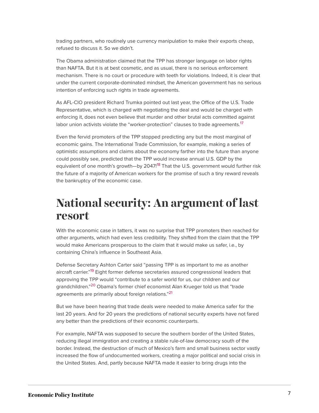trading partners, who routinely use currency manipulation to make their exports cheap, refused to discuss it. So we didn't.

The Obama administration claimed that the TPP has stronger language on labor rights than NAFTA. But it is at best cosmetic, and as usual, there is no serious enforcement mechanism. There is no court or procedure with teeth for violations. Indeed, it is clear that under the current corporate-dominated mindset, the American government has no serious intention of enforcing such rights in trade agreements.

As AFL-CIO president Richard Trumka pointed out last year, the Office of the U.S. Trade Representative, which is charged with negotiating the deal and would be charged with enforcing it, does not even believe that murder and other brutal acts committed against labor union activists violate the "worker-protection" clauses to trade agreements.<sup>[17](#page-12-17)</sup>

<span id="page-7-2"></span><span id="page-7-1"></span>Even the fervid promoters of the TPP stopped predicting any but the most marginal of economic gains. The International Trade Commission, for example, making a series of optimistic assumptions and claims about the economy farther into the future than anyone could possibly see, predicted that the TPP would increase annual U.S. GDP by the equivalent of one month's growth-by 2047!<sup>[18](#page-13-0)</sup> That the U.S. government would further risk the future of a majority of American workers for the promise of such a tiny reward reveals the bankruptcy of the economic case.

#### <span id="page-7-0"></span>**National security: An argument of last resort**

With the economic case in tatters, it was no surprise that TPP promoters then reached for other arguments, which had even less credibility. They shifted from the claim that the TPP would make Americans prosperous to the claim that it would make us safer, i.e., by containing China's influence in Southeast Asia.

<span id="page-7-3"></span>Defense Secretary Ashton Carter said "passing TPP is as important to me as another aircraft carrier."<sup>[19](#page-13-1)</sup> Eight former defense secretaries assured congressional leaders that approving the TPP would "contribute to a safer world for us, our children and our grandchildren."<sup>[20](#page-13-2)</sup> Obama's former chief economist Alan Krueger told us that "trade agreements are primarily about foreign relations."<sup>[21](#page-13-3)</sup>

<span id="page-7-5"></span><span id="page-7-4"></span>But we have been hearing that trade deals were needed to make America safer for the last 20 years. And for 20 years the predictions of national security experts have not fared any better than the predictions of their economic counterparts.

For example, NAFTA was supposed to secure the southern border of the United States, reducing illegal immigration and creating a stable rule-of-law democracy south of the border. Instead, the destruction of much of Mexico's farm and small business sector vastly increased the flow of undocumented workers, creating a major political and social crisis in the United States. And, partly because NAFTA made it easier to bring drugs into the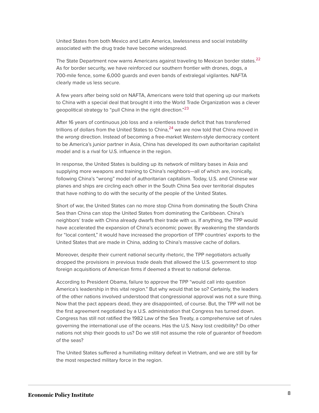United States from both Mexico and Latin America, lawlessness and social instability associated with the drug trade have become widespread.

<span id="page-8-0"></span>The State Department now warns Americans against traveling to Mexican border states.<sup>[22](#page-13-4)</sup> As for border security, we have reinforced our southern frontier with drones, dogs, a 700-mile fence, some 6,000 guards and even bands of extralegal vigilantes. NAFTA clearly made us less secure.

<span id="page-8-1"></span>A few years after being sold on NAFTA, Americans were told that opening up our markets to China with a special deal that brought it into the World Trade Organization was a clever geopolitical strategy to "pull China in the right direction."<sup>[23](#page-13-5)</sup>

<span id="page-8-2"></span>After 16 years of continuous job loss and a relentless trade deficit that has transferred trillions of dollars from the United States to China, $^{24}$  $^{24}$  $^{24}$  we are now told that China moved in the wrong direction. Instead of becoming a free-market Western-style democracy content to be America's junior partner in Asia, China has developed its own authoritarian capitalist model and is a rival for U.S. influence in the region.

In response, the United States is building up its network of military bases in Asia and supplying more weapons and training to China's neighbors—all of which are, ironically, following China's "wrong" model of authoritarian capitalism. Today, U.S. and Chinese war planes and ships are circling each other in the South China Sea over territorial disputes that have nothing to do with the security of the people of the United States.

Short of war, the United States can no more stop China from dominating the South China Sea than China can stop the United States from dominating the Caribbean. China's neighbors' trade with China already dwarfs their trade with us. If anything, the TPP would have accelerated the expansion of China's economic power. By weakening the standards for "local content," it would have increased the proportion of TPP countries' exports to the United States that are made in China, adding to China's massive cache of dollars.

Moreover, despite their current national security rhetoric, the TPP negotiators actually dropped the provisions in previous trade deals that allowed the U.S. government to stop foreign acquisitions of American firms if deemed a threat to national defense.

According to President Obama, failure to approve the TPP "would call into question America's leadership in this vital region." But why would that be so? Certainly, the leaders of the other nations involved understood that congressional approval was not a sure thing. Now that the pact appears dead, they are disappointed, of course. But, the TPP will not be the first agreement negotiated by a U.S. administration that Congress has turned down. Congress has still not ratified the 1982 Law of the Sea Treaty, a comprehensive set of rules governing the international use of the oceans. Has the U.S. Navy lost credibility? Do other nations not ship their goods to us? Do we still not assume the role of guarantor of freedom of the seas?

The United States suffered a humiliating military defeat in Vietnam, and we are still by far the most respected military force in the region.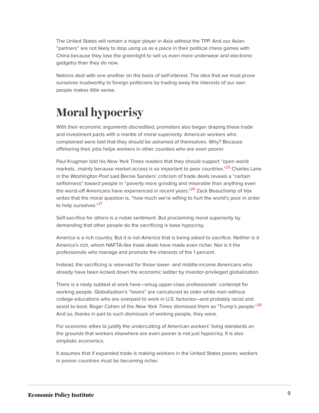The United States will remain a major player in Asia without the TPP. And our Asian "partners" are not likely to stop using us as a piece in their political chess games with China because they lose the greenlight to sell us even more underwear and electronic gadgetry than they do now.

Nations deal with one another on the basis of self-interest. The idea that we must prove ourselves trustworthy to foreign politicians by trading away the interests of our own people makes little sense.

## <span id="page-9-0"></span>**Moral hypocrisy**

With their economic arguments discredited, promoters also began draping these trade and investment pacts with a mantle of moral superiority. American workers who complained were told that they should be ashamed of themselves. Why? Because offshoring their jobs helps workers in other counties who are even poorer.

<span id="page-9-2"></span><span id="page-9-1"></span>Paul Krugman told his New York Times readers that they should support "open world markets...mainly because market access is so important to poor countries."<sup>[25](#page-13-7)</sup> Charles Lane in the Washington Post said Bernie Sanders' criticism of trade deals reveals a "certain selfishness" toward people in "poverty more grinding and miserable than anything even the worst-off Americans have experienced in recent years."<sup>[26](#page-13-8)</sup> Zack Beauchamp of *Vox* writes that the moral question is, "how much we're willing to hurt the world's poor in order to help ourselves."<sup>[27](#page-13-9)</sup>

<span id="page-9-3"></span>Self-sacrifice for others is a noble sentiment. But proclaiming moral superiority by demanding that other people do the sacrificing is base hypocrisy.

America is a rich country. But it is not America that is being asked to sacrifice. Neither is it America's rich, whom NAFTA-like trade deals have made even richer. Nor is it the professionals who manage and promote the interests of the 1 percent.

Instead, the sacrificing is reserved for those lower- and middle-income Americans who already have been kicked down the economic ladder by investor-privileged globalization.

<span id="page-9-4"></span>There is a nasty subtext at work here—smug upper-class professionals' contempt for working people. Globalization's "losers" are caricatured as older white men without college educations who are overpaid to work in U.S. factories—and probably racist and sexist to boot. Roger Cohen of the *New York Times* dismissed them as "Trump's people."<sup>[28](#page-13-10)</sup> And so, thanks in part to such dismissals of working people, they were.

For economic elites to justify the undercutting of American workers' living standards on the grounds that workers elsewhere are even poorer is not just hypocrisy. It is also simplistic economics.

It assumes that if expanded trade is making workers in the United States poorer, workers in poorer countries must be becoming richer.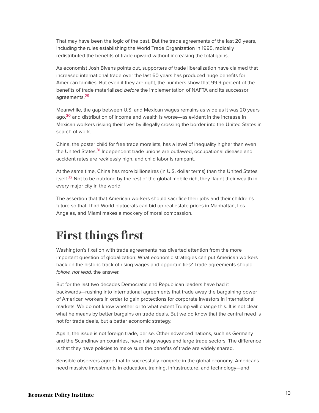That may have been the logic of the past. But the trade agreements of the last 20 years, including the rules establishing the World Trade Organization in 1995, radically redistributed the benefits of trade upward without increasing the total gains.

As economist Josh Bivens points out, supporters of trade liberalization have claimed that increased international trade over the last 60 years has produced huge benefits for American families. But even if they are right, the numbers show that 99.9 percent of the benefits of trade materialized before the implementation of NAFTA and its successor agreements.<sup>[29](#page-13-11)</sup>

<span id="page-10-2"></span><span id="page-10-1"></span>Meanwhile, the gap between U.S. and Mexican wages remains as wide as it was 20 years ago,<sup>[30](#page-13-12)</sup> and distribution of income and wealth is worse—as evident in the increase in Mexican workers risking their lives by illegally crossing the border into the United States in search of work.

<span id="page-10-3"></span>China, the poster child for free trade moralists, has a level of inequality higher than even the United States.<sup>[31](#page-13-13)</sup> Independent trade unions are outlawed, occupational disease and accident rates are recklessly high, and child labor is rampant.

<span id="page-10-4"></span>At the same time, China has more billionaires (in U.S. dollar terms) than the United States itself.<sup>[32](#page-13-14)</sup> Not to be outdone by the rest of the global mobile rich, they flaunt their wealth in every major city in the world.

The assertion that that American workers should sacrifice their jobs and their children's future so that Third World plutocrats can bid up real estate prices in Manhattan, Los Angeles, and Miami makes a mockery of moral compassion.

#### <span id="page-10-0"></span>**First things first**

Washington's fixation with trade agreements has diverted attention from the more important question of globalization: What economic strategies can put American workers back on the historic track of rising wages and opportunities? Trade agreements should follow, not lead, the answer.

But for the last two decades Democratic and Republican leaders have had it backwards—rushing into international agreements that trade away the bargaining power of American workers in order to gain protections for corporate investors in international markets. We do not know whether or to what extent Trump will change this. It is not clear what he means by better bargains on trade deals. But we do know that the central need is not for trade deals, but a better economic strategy.

Again, the issue is not foreign trade, per se. Other advanced nations, such as Germany and the Scandinavian countries, have rising wages and large trade sectors. The difference is that they have policies to make sure the benefits of trade are widely shared.

Sensible observers agree that to successfully compete in the global economy, Americans need massive investments in education, training, infrastructure, and technology—and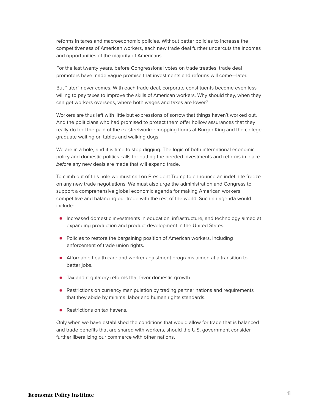reforms in taxes and macroeconomic policies. Without better policies to increase the competitiveness of American workers, each new trade deal further undercuts the incomes and opportunities of the majority of Americans.

For the last twenty years, before Congressional votes on trade treaties, trade deal promoters have made vague promise that investments and reforms will come—later.

But "later" never comes. With each trade deal, corporate constituents become even less willing to pay taxes to improve the skills of American workers. Why should they, when they can get workers overseas, where both wages and taxes are lower?

Workers are thus left with little but expressions of sorrow that things haven't worked out. And the politicians who had promised to protect them offer hollow assurances that they really do feel the pain of the ex-steelworker mopping floors at Burger King and the college graduate waiting on tables and walking dogs.

We are in a hole, and it is time to stop digging. The logic of both international economic policy and domestic politics calls for putting the needed investments and reforms in place before any new deals are made that will expand trade.

To climb out of this hole we must call on President Trump to announce an indefinite freeze on any new trade negotiations. We must also urge the administration and Congress to support a comprehensive global economic agenda for making American workers competitive and balancing our trade with the rest of the world. Such an agenda would include:

- **Increased domestic investments in education, infrastructure, and technology aimed at** expanding production and product development in the United States.
- Policies to restore the bargaining position of American workers, including enforcement of trade union rights.
- Affordable health care and worker adjustment programs aimed at a transition to better jobs.
- Tax and regulatory reforms that favor domestic growth.
- **•** Restrictions on currency manipulation by trading partner nations and requirements that they abide by minimal labor and human rights standards.
- Restrictions on tax havens.

Only when we have established the conditions that would allow for trade that is balanced and trade benefits that are shared with workers, should the U.S. government consider further liberalizing our commerce with other nations.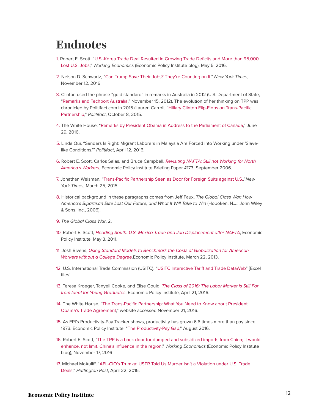#### <span id="page-12-0"></span>**Endnotes**

- <span id="page-12-1"></span>[1.](#page-1-0) Robert E. Scott, "[U.S.-Korea Trade Deal Resulted in Growing Trade Deficits and More than 95,000](http://www.epi.org/blog/u-s-korea-trade-deal-resulted-in-growing-trade-deficits-and-more-than-95000-lost-u-s-jobs/) [Lost U.S. Jobs](http://www.epi.org/blog/u-s-korea-trade-deal-resulted-in-growing-trade-deficits-and-more-than-95000-lost-u-s-jobs/)," Working Economics (Economic Policy Institute blog), May 5, 2016.
- <span id="page-12-2"></span>[2.](#page-2-1) Nelson D. Schwartz, ["Can Trump Save Their Jobs? They're Counting on It](http://www.nytimes.com/2016/11/13/business/economy/can-trump-save-their-jobs-theyre-counting-on-it.html?_r=0)," New York Times, November 12, 2016.
- <span id="page-12-3"></span>[3.](#page-2-2) Clinton used the phrase "gold standard" in remarks in Australia in 2012 (U.S. Department of State, "[Remarks and Techport Australia](http://www.state.gov/secretary/20092013clinton/rm/2012/11/200565.htm)," November 15, 2012). The evolution of her thinking on TPP was chronicled by Politifact.com in 2015 (Lauren Carroll, ["Hillary Clinton Flip-Flops on Trans-Pacific](http://www.politifact.com/truth-o-meter/statements/2015/oct/08/hillary-clinton/hillary-clinton-now-opposes-trans-pacific-partners/) [Partnership,](http://www.politifact.com/truth-o-meter/statements/2015/oct/08/hillary-clinton/hillary-clinton-now-opposes-trans-pacific-partners/)" Politifact, October 8, 2015.
- <span id="page-12-4"></span>[4.](#page-3-1) The White House, "[Remarks by President Obama in Address to the Parliament of Canada,](https://www.whitehouse.gov/the-press-office/2016/06/30/remarks-president-obama-address-parliament-canada)" June 29, 2016.
- <span id="page-12-5"></span>[5.](#page-3-2) Linda Qui, "Sanders Is Right: Migrant Laborers in Malaysia Are Forced into Working under 'Slavelike Conditions,'" Politifact, April 12, 2016.
- <span id="page-12-6"></span>[6.](#page-3-3) Robert E. Scott, Carlos Salas, and Bruce Campbell, [Revisiting NAFTA: Still not Working for North](http://www.epi.org/files/page/-/old/briefingpapers/173/bp173.pdf) [America's Workers](http://www.epi.org/files/page/-/old/briefingpapers/173/bp173.pdf), Economic Policy Institute Briefing Paper #173, September 2006.
- <span id="page-12-7"></span>[7.](#page-3-4) Jonathan Weisman, "[Trans-Pacific Partnership Seen as Door for Foreign Suits against U.S.,](http://www.nytimes.com/2015/03/26/business/trans-pacific-partnership-seen-as-door-for-foreign-suits-against-us.html?_r=1)"New York Times, March 25, 2015.
- <span id="page-12-8"></span>[8.](#page-4-0) Historical background in these paragraphs comes from Jeff Faux, The Global Class War: How America's Bipartisan Elite Lost Our Future, and What It Will Take to Win (Hoboken, N.J.: John Wiley & Sons, Inc., 2006).
- <span id="page-12-9"></span>[9.](#page-4-1) The Global Class War, 2.
- <span id="page-12-10"></span>[10.](#page-5-1) Robert E. Scott, [Heading South: U.S.-Mexico Trade and Job Displacement after NAFTA](http://www.epi.org/files/page/-/BriefingPaper308.pdf), Economic Policy Institute, May 3, 2011.
- <span id="page-12-11"></span>[11.](#page-5-2) Josh Bivens, [Using Standard Models to Benchmark the Costs of Globalization for American](http://www.epi.org/publication/standard-models-benchmark-costs-globalization/) [Workers without a College Degree](http://www.epi.org/publication/standard-models-benchmark-costs-globalization/),Economic Policy Institute, March 22, 2013.
- <span id="page-12-12"></span>[12.](#page-5-3) U.S. International Trade Commission (USITC), ["USITC Interactive Tariff and Trade DataWeb](http://dataweb.usitc.gov/scripts/user_set.asp)" [Excel files].
- <span id="page-12-13"></span>[13.](#page-5-4) Teresa Kroeger, Tanyell Cooke, and Elise Gould, [The Class of 2016: The Labor Market Is Still Far](http://www.epi.org/publication/class-of-2016/) [from Ideal for Young Graduates](http://www.epi.org/publication/class-of-2016/), Economic Policy Institute, April 21, 2016.
- <span id="page-12-14"></span>[14.](#page-6-1) The White House, "[The Trans-Pacific Partnership: What You Need to Know about President](https://www.whitehouse.gov/issues/economy/trade) [Obama's Trade Agreement,](https://www.whitehouse.gov/issues/economy/trade)" website accessed November 21, 2016.
- <span id="page-12-15"></span>[15.](#page-6-2) As EPI's Productivity-Pay Tracker shows, productivity has grown 6.6 times more than pay since 1973. Economic Policy Institute, ["The Productivity-Pay Gap](http://www.epi.org/productivity-pay-gap/)," August 2016.
- <span id="page-12-16"></span>[16.](#page-6-3) Robert E. Scott, "[The TPP is a back door for dumped and subsidized imports from China; it would](http://www.epi.org/blog/the-tpp-is-a-back-door-for-dumped-and-subsidized-imports-from-china-it-would-enhance-not-limit-chinas-influence-in-the-region/) [enhance, not limit, China's influence in the region](http://www.epi.org/blog/the-tpp-is-a-back-door-for-dumped-and-subsidized-imports-from-china-it-would-enhance-not-limit-chinas-influence-in-the-region/)," Working Economics (Economic Policy Institute blog), November 17, 2016
- <span id="page-12-17"></span>[17.](#page-7-1) Michael McAuliff, ["AFL-CIO's Trumka: USTR Told Us Murder Isn't a Violation under U.S. Trade](http://www.huffingtonpost.com/2015/04/22/fast-track-trade_n_7113412.html) [Deals](http://www.huffingtonpost.com/2015/04/22/fast-track-trade_n_7113412.html)," Huffington Post, April 22, 2015.